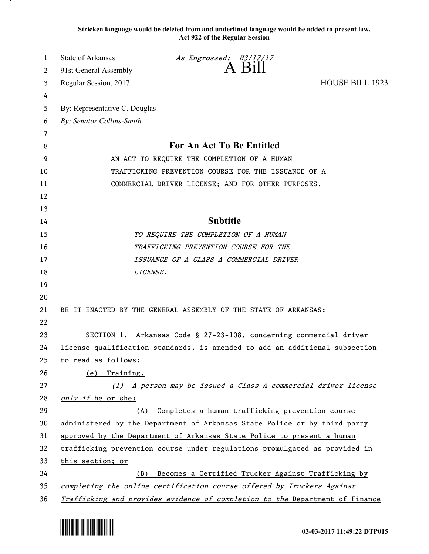**Stricken language would be deleted from and underlined language would be added to present law. Act 922 of the Regular Session**

| 1  | <b>State of Arkansas</b>                                                     | As Engrossed: H3/17/17 |                 |  |
|----|------------------------------------------------------------------------------|------------------------|-----------------|--|
| 2  | 91st General Assembly                                                        | A Bill                 |                 |  |
| 3  | Regular Session, 2017                                                        |                        | HOUSE BILL 1923 |  |
| 4  |                                                                              |                        |                 |  |
| 5  | By: Representative C. Douglas                                                |                        |                 |  |
| 6  | By: Senator Collins-Smith                                                    |                        |                 |  |
| 7  |                                                                              |                        |                 |  |
| 8  | For An Act To Be Entitled                                                    |                        |                 |  |
| 9  | AN ACT TO REQUIRE THE COMPLETION OF A HUMAN                                  |                        |                 |  |
| 10 | TRAFFICKING PREVENTION COURSE FOR THE ISSUANCE OF A                          |                        |                 |  |
| 11 | COMMERCIAL DRIVER LICENSE; AND FOR OTHER PURPOSES.                           |                        |                 |  |
| 12 |                                                                              |                        |                 |  |
| 13 |                                                                              |                        |                 |  |
| 14 | <b>Subtitle</b>                                                              |                        |                 |  |
| 15 | TO REQUIRE THE COMPLETION OF A HUMAN                                         |                        |                 |  |
| 16 | TRAFFICKING PREVENTION COURSE FOR THE                                        |                        |                 |  |
| 17 | ISSUANCE OF A CLASS A COMMERCIAL DRIVER                                      |                        |                 |  |
| 18 |                                                                              | LICENSE.               |                 |  |
| 19 |                                                                              |                        |                 |  |
| 20 |                                                                              |                        |                 |  |
| 21 | BE IT ENACTED BY THE GENERAL ASSEMBLY OF THE STATE OF ARKANSAS:              |                        |                 |  |
| 22 |                                                                              |                        |                 |  |
| 23 | SECTION 1. Arkansas Code § 27-23-108, concerning commercial driver           |                        |                 |  |
| 24 | license qualification standards, is amended to add an additional subsection  |                        |                 |  |
| 25 | to read as follows:                                                          |                        |                 |  |
| 26 | Training.<br>(e)                                                             |                        |                 |  |
| 27 | A person may be issued a Class A commercial driver license<br>(1)            |                        |                 |  |
| 28 | only if he or she:                                                           |                        |                 |  |
| 29 | Completes a human trafficking prevention course<br>(A)                       |                        |                 |  |
| 30 | administered by the Department of Arkansas State Police or by third party    |                        |                 |  |
| 31 | approved by the Department of Arkansas State Police to present a human       |                        |                 |  |
| 32 | trafficking prevention course under regulations promulgated as provided in   |                        |                 |  |
| 33 | this section; or                                                             |                        |                 |  |
| 34 | Becomes a Certified Trucker Against Trafficking by<br>(B)                    |                        |                 |  |
| 35 | completing the online certification course offered by Truckers Against       |                        |                 |  |
| 36 | Trafficking and provides evidence of completion to the Department of Finance |                        |                 |  |



.